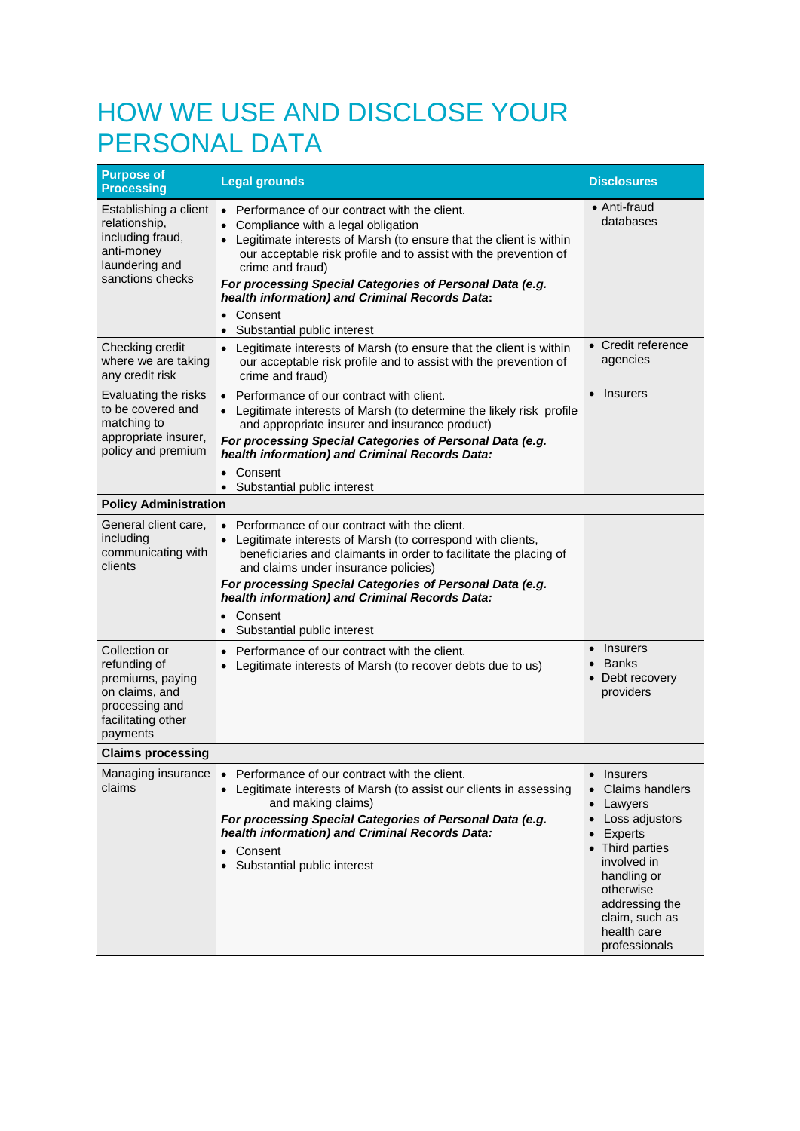## HOW WE USE AND DISCLOSE YOUR PERSONAL DATA

| <b>Purpose of</b><br><b>Processing</b>                                                                                  | <b>Legal grounds</b>                                                                                                                                                                                                                                                                                                                                              | <b>Disclosures</b>                                                                                                                                                                                                  |
|-------------------------------------------------------------------------------------------------------------------------|-------------------------------------------------------------------------------------------------------------------------------------------------------------------------------------------------------------------------------------------------------------------------------------------------------------------------------------------------------------------|---------------------------------------------------------------------------------------------------------------------------------------------------------------------------------------------------------------------|
| Establishing a client<br>relationship,<br>including fraud,<br>anti-money<br>laundering and<br>sanctions checks          | • Performance of our contract with the client.<br>Compliance with a legal obligation<br>Legitimate interests of Marsh (to ensure that the client is within<br>our acceptable risk profile and to assist with the prevention of<br>crime and fraud)<br>For processing Special Categories of Personal Data (e.g.<br>health information) and Criminal Records Data:  | ● Anti-fraud<br>databases                                                                                                                                                                                           |
|                                                                                                                         | Consent<br>$\bullet$<br>• Substantial public interest                                                                                                                                                                                                                                                                                                             |                                                                                                                                                                                                                     |
| Checking credit<br>where we are taking<br>any credit risk                                                               | • Legitimate interests of Marsh (to ensure that the client is within<br>our acceptable risk profile and to assist with the prevention of<br>crime and fraud)                                                                                                                                                                                                      | • Credit reference<br>agencies                                                                                                                                                                                      |
| Evaluating the risks<br>to be covered and<br>matching to<br>appropriate insurer,<br>policy and premium                  | • Performance of our contract with client.<br>• Legitimate interests of Marsh (to determine the likely risk profile<br>and appropriate insurer and insurance product)<br>For processing Special Categories of Personal Data (e.g.<br>health information) and Criminal Records Data:<br>Consent<br>$\bullet$                                                       | <b>Insurers</b><br>$\bullet$                                                                                                                                                                                        |
| <b>Policy Administration</b>                                                                                            | Substantial public interest                                                                                                                                                                                                                                                                                                                                       |                                                                                                                                                                                                                     |
| General client care.<br>including<br>communicating with<br>clients                                                      | • Performance of our contract with the client.<br>• Legitimate interests of Marsh (to correspond with clients,<br>beneficiaries and claimants in order to facilitate the placing of<br>and claims under insurance policies)<br>For processing Special Categories of Personal Data (e.g.<br>health information) and Criminal Records Data:<br>Consent<br>$\bullet$ |                                                                                                                                                                                                                     |
|                                                                                                                         | Substantial public interest<br>$\bullet$                                                                                                                                                                                                                                                                                                                          |                                                                                                                                                                                                                     |
| Collection or<br>refunding of<br>premiums, paying<br>on claims, and<br>processing and<br>facilitating other<br>payments | Performance of our contract with the client.<br>$\bullet$<br>Legitimate interests of Marsh (to recover debts due to us)<br>$\bullet$                                                                                                                                                                                                                              | Insurers<br>$\bullet$<br><b>Banks</b><br>Debt recovery<br>providers                                                                                                                                                 |
| <b>Claims processing</b>                                                                                                |                                                                                                                                                                                                                                                                                                                                                                   |                                                                                                                                                                                                                     |
| Managing insurance<br>claims                                                                                            | Performance of our contract with the client.<br>$\bullet$<br>Legitimate interests of Marsh (to assist our clients in assessing<br>$\bullet$<br>and making claims)<br>For processing Special Categories of Personal Data (e.g.<br>health information) and Criminal Records Data:<br>Consent<br>Substantial public interest                                         | <b>Insurers</b><br><b>Claims handlers</b><br>Lawyers<br>Loss adjustors<br>Experts<br>• Third parties<br>involved in<br>handling or<br>otherwise<br>addressing the<br>claim, such as<br>health care<br>professionals |